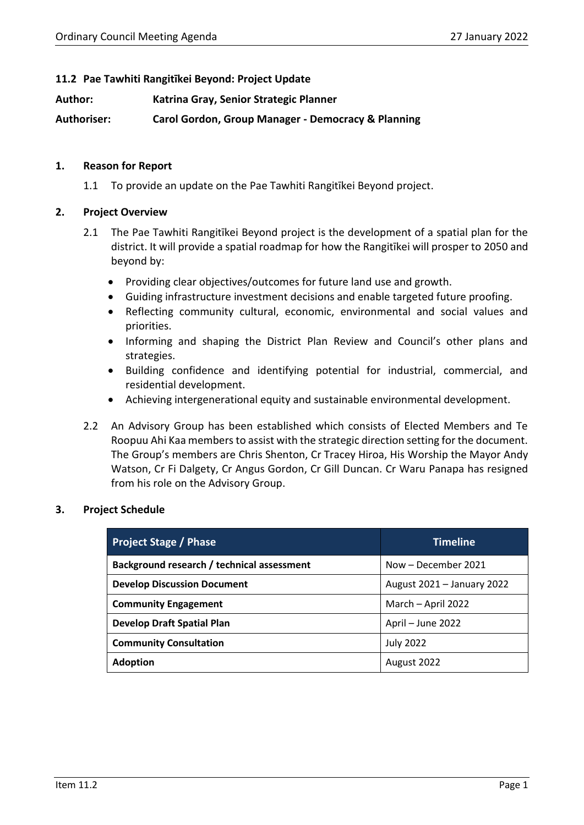### **11.2 Pae Tawhiti Rangitīkei Beyond: Project Update**

**Author: Katrina Gray, Senior Strategic Planner**

**Authoriser: Carol Gordon, Group Manager - Democracy & Planning**

#### **1. Reason for Report**

1.1 To provide an update on the Pae Tawhiti Rangitīkei Beyond project.

#### **2. Project Overview**

- 2.1 The Pae Tawhiti Rangitīkei Beyond project is the development of a spatial plan for the district. It will provide a spatial roadmap for how the Rangitīkei will prosper to 2050 and beyond by:
	- Providing clear objectives/outcomes for future land use and growth.
	- Guiding infrastructure investment decisions and enable targeted future proofing.
	- Reflecting community cultural, economic, environmental and social values and priorities.
	- Informing and shaping the District Plan Review and Council's other plans and strategies.
	- Building confidence and identifying potential for industrial, commercial, and residential development.
	- Achieving intergenerational equity and sustainable environmental development.
- 2.2 An Advisory Group has been established which consists of Elected Members and Te Roopuu Ahi Kaa members to assist with the strategic direction setting for the document. The Group's members are Chris Shenton, Cr Tracey Hiroa, His Worship the Mayor Andy Watson, Cr Fi Dalgety, Cr Angus Gordon, Cr Gill Duncan. Cr Waru Panapa has resigned from his role on the Advisory Group.

#### **3. Project Schedule**

| <b>Project Stage / Phase</b>                                     | Timeline            |  |
|------------------------------------------------------------------|---------------------|--|
| Background research / technical assessment                       | Now - December 2021 |  |
| <b>Develop Discussion Document</b><br>August 2021 - January 2022 |                     |  |
| <b>Community Engagement</b>                                      | March - April 2022  |  |
| <b>Develop Draft Spatial Plan</b>                                | April - June 2022   |  |
| <b>Community Consultation</b>                                    | <b>July 2022</b>    |  |
| <b>Adoption</b><br>August 2022                                   |                     |  |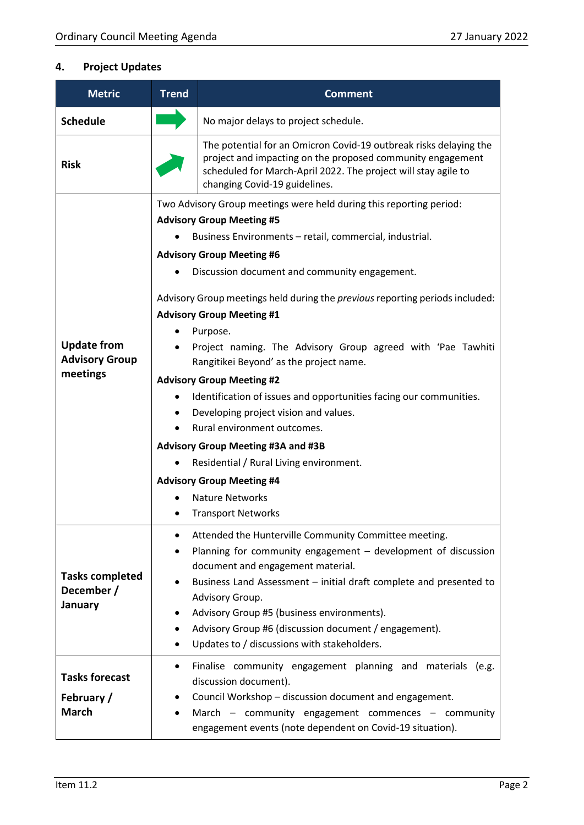# **4. Project Updates**

| <b>Metric</b>                                   | <b>Trend</b>                                                                                                     | <b>Comment</b>                                                                                                                                                                                                                     |  |  |
|-------------------------------------------------|------------------------------------------------------------------------------------------------------------------|------------------------------------------------------------------------------------------------------------------------------------------------------------------------------------------------------------------------------------|--|--|
| <b>Schedule</b>                                 |                                                                                                                  | No major delays to project schedule.                                                                                                                                                                                               |  |  |
| <b>Risk</b>                                     |                                                                                                                  | The potential for an Omicron Covid-19 outbreak risks delaying the<br>project and impacting on the proposed community engagement<br>scheduled for March-April 2022. The project will stay agile to<br>changing Covid-19 guidelines. |  |  |
|                                                 | Two Advisory Group meetings were held during this reporting period:                                              |                                                                                                                                                                                                                                    |  |  |
|                                                 | <b>Advisory Group Meeting #5</b>                                                                                 |                                                                                                                                                                                                                                    |  |  |
|                                                 | Business Environments - retail, commercial, industrial.                                                          |                                                                                                                                                                                                                                    |  |  |
|                                                 | <b>Advisory Group Meeting #6</b>                                                                                 |                                                                                                                                                                                                                                    |  |  |
|                                                 |                                                                                                                  | Discussion document and community engagement.                                                                                                                                                                                      |  |  |
|                                                 | Advisory Group meetings held during the previous reporting periods included:<br><b>Advisory Group Meeting #1</b> |                                                                                                                                                                                                                                    |  |  |
|                                                 |                                                                                                                  | Purpose.                                                                                                                                                                                                                           |  |  |
| <b>Update from</b><br><b>Advisory Group</b>     |                                                                                                                  | Project naming. The Advisory Group agreed with 'Pae Tawhiti<br>Rangitikei Beyond' as the project name.                                                                                                                             |  |  |
| meetings                                        | <b>Advisory Group Meeting #2</b>                                                                                 |                                                                                                                                                                                                                                    |  |  |
|                                                 | $\bullet$                                                                                                        | Identification of issues and opportunities facing our communities.                                                                                                                                                                 |  |  |
|                                                 |                                                                                                                  | Developing project vision and values.                                                                                                                                                                                              |  |  |
|                                                 | Rural environment outcomes.<br>$\bullet$                                                                         |                                                                                                                                                                                                                                    |  |  |
|                                                 | <b>Advisory Group Meeting #3A and #3B</b>                                                                        |                                                                                                                                                                                                                                    |  |  |
|                                                 | $\bullet$                                                                                                        | Residential / Rural Living environment.                                                                                                                                                                                            |  |  |
|                                                 | <b>Advisory Group Meeting #4</b>                                                                                 |                                                                                                                                                                                                                                    |  |  |
|                                                 |                                                                                                                  | <b>Nature Networks</b>                                                                                                                                                                                                             |  |  |
|                                                 |                                                                                                                  | <b>Transport Networks</b>                                                                                                                                                                                                          |  |  |
| <b>Tasks completed</b><br>December /<br>January | $\bullet$                                                                                                        | Attended the Hunterville Community Committee meeting.                                                                                                                                                                              |  |  |
|                                                 | $\bullet$                                                                                                        | Planning for community engagement - development of discussion                                                                                                                                                                      |  |  |
|                                                 |                                                                                                                  | document and engagement material.                                                                                                                                                                                                  |  |  |
|                                                 |                                                                                                                  | Business Land Assessment - initial draft complete and presented to                                                                                                                                                                 |  |  |
|                                                 |                                                                                                                  | Advisory Group.<br>Advisory Group #5 (business environments).                                                                                                                                                                      |  |  |
|                                                 |                                                                                                                  | Advisory Group #6 (discussion document / engagement).                                                                                                                                                                              |  |  |
|                                                 |                                                                                                                  | Updates to / discussions with stakeholders.                                                                                                                                                                                        |  |  |
|                                                 |                                                                                                                  | Finalise community engagement planning and materials (e.g.                                                                                                                                                                         |  |  |
| <b>Tasks forecast</b>                           |                                                                                                                  | discussion document).                                                                                                                                                                                                              |  |  |
| February /                                      | ٠                                                                                                                | Council Workshop - discussion document and engagement.                                                                                                                                                                             |  |  |
| <b>March</b>                                    | March - community engagement commences - community<br>$\bullet$                                                  |                                                                                                                                                                                                                                    |  |  |
|                                                 |                                                                                                                  | engagement events (note dependent on Covid-19 situation).                                                                                                                                                                          |  |  |